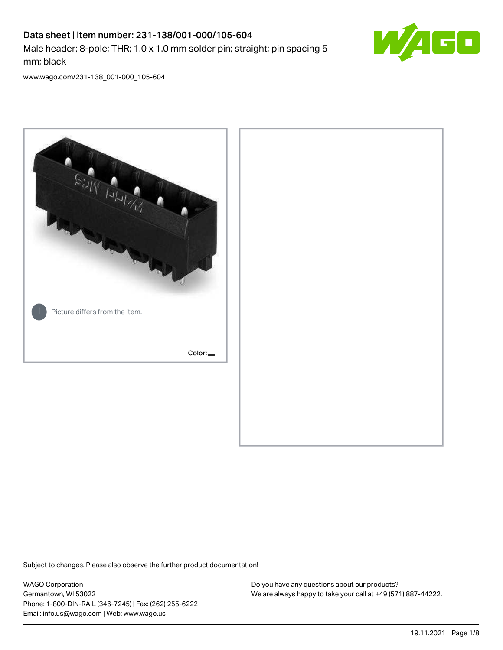# Data sheet | Item number: 231-138/001-000/105-604 Male header; 8-pole; THR; 1.0 x 1.0 mm solder pin; straight; pin spacing 5 mm; black



[www.wago.com/231-138\\_001-000\\_105-604](http://www.wago.com/231-138_001-000_105-604)



Subject to changes. Please also observe the further product documentation!

WAGO Corporation Germantown, WI 53022 Phone: 1-800-DIN-RAIL (346-7245) | Fax: (262) 255-6222 Email: info.us@wago.com | Web: www.wago.us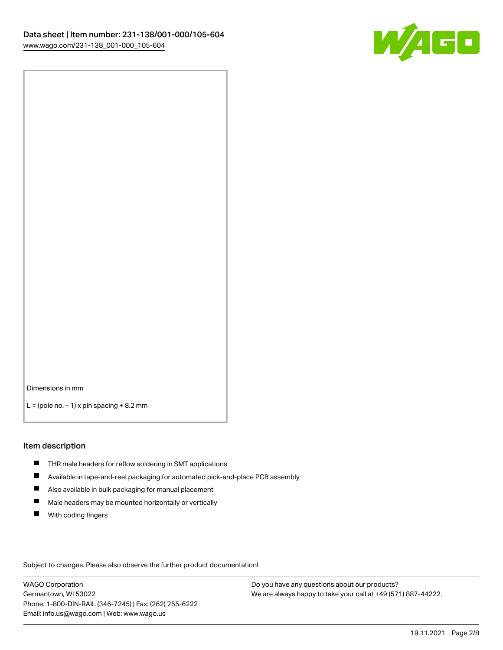

Dimensions in mm

 $L =$  (pole no.  $-1$ ) x pin spacing  $+8.2$  mm

#### Item description

- **THR** male headers for reflow soldering in SMT applications
- $\blacksquare$ Available in tape-and-reel packaging for automated pick-and-place PCB assembly
- $\blacksquare$ Also available in bulk packaging for manual placement
- $\blacksquare$ Male headers may be mounted horizontally or vertically
- **With coding fingers**

Subject to changes. Please also observe the further product documentation!

WAGO Corporation Germantown, WI 53022 Phone: 1-800-DIN-RAIL (346-7245) | Fax: (262) 255-6222 Email: info.us@wago.com | Web: www.wago.us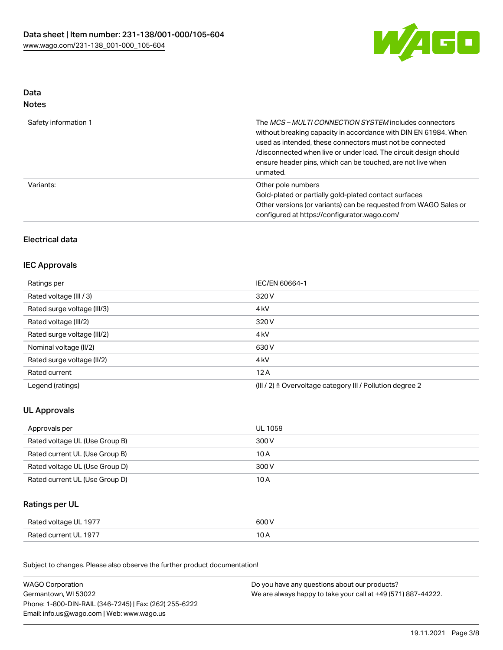

# Data Notes

| Safety information 1 | The MCS-MULTI CONNECTION SYSTEM includes connectors<br>without breaking capacity in accordance with DIN EN 61984. When<br>used as intended, these connectors must not be connected<br>/disconnected when live or under load. The circuit design should<br>ensure header pins, which can be touched, are not live when<br>unmated. |
|----------------------|-----------------------------------------------------------------------------------------------------------------------------------------------------------------------------------------------------------------------------------------------------------------------------------------------------------------------------------|
| Variants:            | Other pole numbers<br>Gold-plated or partially gold-plated contact surfaces<br>Other versions (or variants) can be requested from WAGO Sales or<br>configured at https://configurator.wago.com/                                                                                                                                   |

# Electrical data

## IEC Approvals

| Ratings per                 | IEC/EN 60664-1                                                       |
|-----------------------------|----------------------------------------------------------------------|
| Rated voltage (III / 3)     | 320 V                                                                |
| Rated surge voltage (III/3) | 4 <sub>kV</sub>                                                      |
| Rated voltage (III/2)       | 320 V                                                                |
| Rated surge voltage (III/2) | 4 <sub>kV</sub>                                                      |
| Nominal voltage (II/2)      | 630 V                                                                |
| Rated surge voltage (II/2)  | 4 <sub>kV</sub>                                                      |
| Rated current               | 12A                                                                  |
| Legend (ratings)            | (III / 2) $\triangleq$ Overvoltage category III / Pollution degree 2 |

# UL Approvals

| Approvals per                  | UL 1059 |
|--------------------------------|---------|
| Rated voltage UL (Use Group B) | 300 V   |
| Rated current UL (Use Group B) | 10 A    |
| Rated voltage UL (Use Group D) | 300 V   |
| Rated current UL (Use Group D) | 10 A    |

# Ratings per UL

| Rated voltage UL 1977 | 600 V |
|-----------------------|-------|
| Rated current UL 1977 | 10 A  |

| <b>WAGO Corporation</b>                                | Do you have any questions about our products?                 |
|--------------------------------------------------------|---------------------------------------------------------------|
| Germantown, WI 53022                                   | We are always happy to take your call at +49 (571) 887-44222. |
| Phone: 1-800-DIN-RAIL (346-7245)   Fax: (262) 255-6222 |                                                               |
| Email: info.us@wago.com   Web: www.wago.us             |                                                               |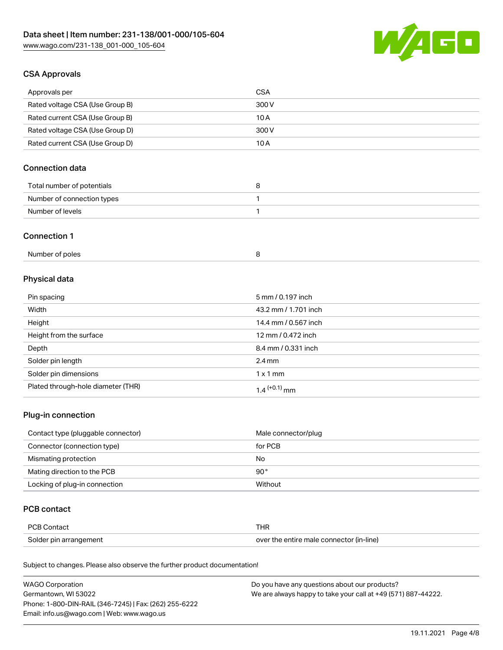

# CSA Approvals

| Approvals per                   | <b>CSA</b> |
|---------------------------------|------------|
| Rated voltage CSA (Use Group B) | 300 V      |
| Rated current CSA (Use Group B) | 10 A       |
| Rated voltage CSA (Use Group D) | 300 V      |
| Rated current CSA (Use Group D) | 10 A       |

# Connection data

| Total number of potentials |  |
|----------------------------|--|
| Number of connection types |  |
| Number of levels           |  |

#### Connection 1

| Number of poles |  |
|-----------------|--|
|-----------------|--|

# Physical data

| Pin spacing                        | 5 mm / 0.197 inch    |
|------------------------------------|----------------------|
| Width                              | 43.2 mm / 1.701 inch |
| Height                             | 14.4 mm / 0.567 inch |
| Height from the surface            | 12 mm / 0.472 inch   |
| Depth                              | 8.4 mm / 0.331 inch  |
| Solder pin length                  | $2.4 \text{ mm}$     |
| Solder pin dimensions              | $1 \times 1$ mm      |
| Plated through-hole diameter (THR) | $1.4$ $(+0.1)$ mm    |

## Plug-in connection

| Contact type (pluggable connector) | Male connector/plug |
|------------------------------------|---------------------|
| Connector (connection type)        | for PCB             |
| Mismating protection               | No                  |
| Mating direction to the PCB        | $90^{\circ}$        |
| Locking of plug-in connection      | Without             |

## PCB contact

| <b>PCB Contact</b>     | THR                                      |
|------------------------|------------------------------------------|
| Solder pin arrangement | over the entire male connector (in-line) |

| <b>WAGO Corporation</b>                                | Do you have any questions about our products?                 |
|--------------------------------------------------------|---------------------------------------------------------------|
| Germantown, WI 53022                                   | We are always happy to take your call at +49 (571) 887-44222. |
| Phone: 1-800-DIN-RAIL (346-7245)   Fax: (262) 255-6222 |                                                               |
| Email: info.us@wago.com   Web: www.wago.us             |                                                               |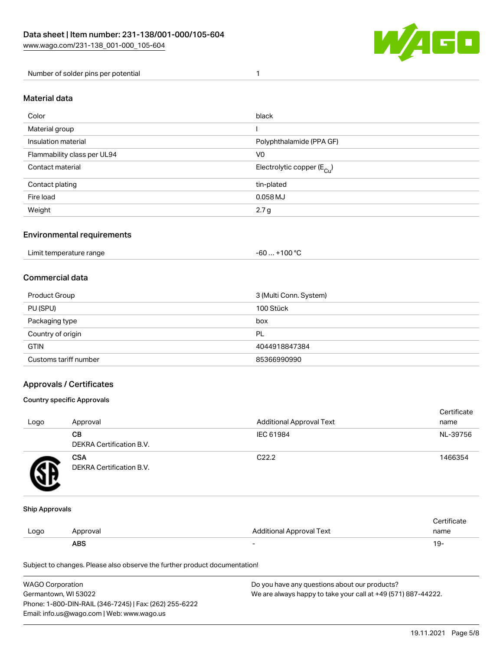

Number of solder pins per potential 1

### Material data

| Color                       | black                                  |
|-----------------------------|----------------------------------------|
| Material group              |                                        |
| Insulation material         | Polyphthalamide (PPA GF)               |
| Flammability class per UL94 | V <sub>0</sub>                         |
| Contact material            | Electrolytic copper (E <sub>Cu</sub> ) |
| Contact plating             | tin-plated                             |
| Fire load                   | 0.058 MJ                               |
| Weight                      | 2.7 g                                  |

### Environmental requirements

Limit temperature range  $-60... +100$  °C

#### Commercial data

| Product Group         | 3 (Multi Conn. System) |
|-----------------------|------------------------|
| PU (SPU)              | 100 Stück              |
| Packaging type        | box                    |
| Country of origin     | PL                     |
| <b>GTIN</b>           | 4044918847384          |
| Customs tariff number | 85366990990            |

## Approvals / Certificates

#### Country specific Approvals

| Logo | Approval                               | <b>Additional Approval Text</b> | Certificate<br>name |
|------|----------------------------------------|---------------------------------|---------------------|
|      | CВ<br>DEKRA Certification B.V.         | IEC 61984                       | NL-39756            |
|      | <b>CSA</b><br>DEKRA Certification B.V. | C <sub>22.2</sub>               | 1466354             |

#### Ship Approvals

|      | ABS      |                                 | ιУ۰                |
|------|----------|---------------------------------|--------------------|
| Logo | Approval | <b>Additional Approval Text</b> | name               |
|      |          |                                 | <b>Certificate</b> |

| <b>WAGO Corporation</b>                                | Do you have any questions about our products?                 |
|--------------------------------------------------------|---------------------------------------------------------------|
| Germantown, WI 53022                                   | We are always happy to take your call at +49 (571) 887-44222. |
| Phone: 1-800-DIN-RAIL (346-7245)   Fax: (262) 255-6222 |                                                               |
| Email: info.us@wago.com   Web: www.wago.us             |                                                               |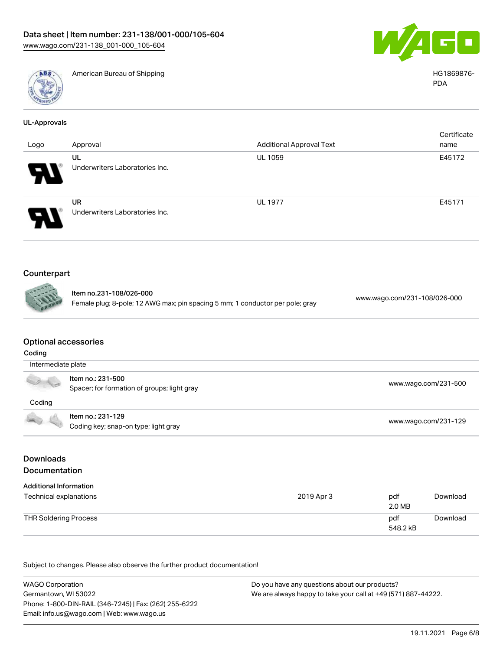

American Bureau of Shipping HG1869876-



PDA

| <b>UL-Approvals</b>  |                                                                                                          |                                 |                              |             |
|----------------------|----------------------------------------------------------------------------------------------------------|---------------------------------|------------------------------|-------------|
| Logo                 | Approval                                                                                                 | <b>Additional Approval Text</b> | name                         | Certificate |
|                      | UL<br>Underwriters Laboratories Inc.                                                                     | <b>UL 1059</b>                  | E45172                       |             |
|                      | UR<br>Underwriters Laboratories Inc.                                                                     | <b>UL 1977</b>                  | E45171                       |             |
| Counterpart<br>nnnng | Item no.231-108/026-000<br>Female plug; 8-pole; 12 AWG max; pin spacing 5 mm; 1 conductor per pole; gray |                                 | www.wago.com/231-108/026-000 |             |

# Optional accessories

| Coding             |                                                                  |                      |  |  |  |
|--------------------|------------------------------------------------------------------|----------------------|--|--|--|
| Intermediate plate |                                                                  |                      |  |  |  |
| a ya               | ltem no.: 231-500<br>Spacer; for formation of groups; light gray | www.wago.com/231-500 |  |  |  |
| Coding             |                                                                  |                      |  |  |  |
|                    | Item no.: 231-129<br>Coding key; snap-on type; light gray        | www.wago.com/231-129 |  |  |  |

# Downloads Documentation

| <b>Additional Information</b><br>Technical explanations | 2019 Apr 3 | pdf<br>2.0 MB   | Download |
|---------------------------------------------------------|------------|-----------------|----------|
| <b>THR Soldering Process</b>                            |            | pdf<br>548.2 kB | Download |

| <b>WAGO Corporation</b>                                | Do you have any questions about our products?                 |
|--------------------------------------------------------|---------------------------------------------------------------|
| Germantown, WI 53022                                   | We are always happy to take your call at +49 (571) 887-44222. |
| Phone: 1-800-DIN-RAIL (346-7245)   Fax: (262) 255-6222 |                                                               |
| Email: info.us@wago.com   Web: www.wago.us             |                                                               |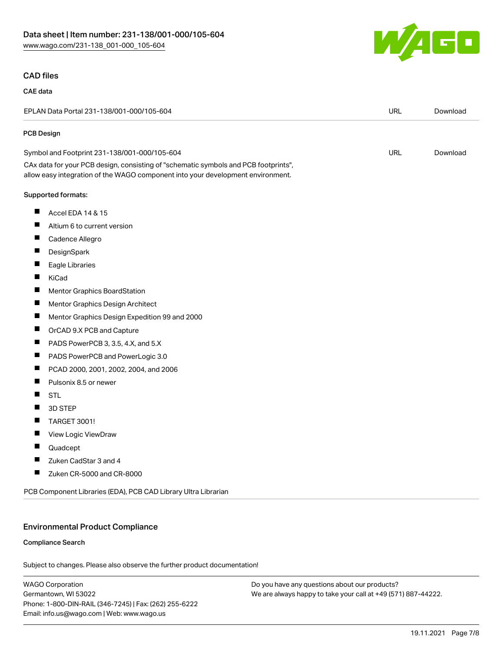

#### CAD files

#### CAE data

|            | EPLAN Data Portal 231-138/001-000/105-604                                                                                                                              | <b>URL</b> | Download |
|------------|------------------------------------------------------------------------------------------------------------------------------------------------------------------------|------------|----------|
| PCB Design |                                                                                                                                                                        |            |          |
|            | Symbol and Footprint 231-138/001-000/105-604                                                                                                                           | <b>URL</b> | Download |
|            | CAx data for your PCB design, consisting of "schematic symbols and PCB footprints",<br>allow easy integration of the WAGO component into your development environment. |            |          |
|            | Supported formats:                                                                                                                                                     |            |          |
| ш          | Accel EDA 14 & 15                                                                                                                                                      |            |          |
| Ш          | Altium 6 to current version                                                                                                                                            |            |          |
| ш          | Cadence Allegro                                                                                                                                                        |            |          |
| ш          | DesignSpark                                                                                                                                                            |            |          |
| ш          | Eagle Libraries                                                                                                                                                        |            |          |
| ш          | KiCad                                                                                                                                                                  |            |          |
| Ш          | Mentor Graphics BoardStation                                                                                                                                           |            |          |
| ш          | Mentor Graphics Design Architect                                                                                                                                       |            |          |
| ш          | Mentor Graphics Design Expedition 99 and 2000                                                                                                                          |            |          |
| ш          | OrCAD 9.X PCB and Capture                                                                                                                                              |            |          |
| ш          | PADS PowerPCB 3, 3.5, 4.X, and 5.X                                                                                                                                     |            |          |
| ш          | PADS PowerPCB and PowerLogic 3.0                                                                                                                                       |            |          |
| ш          | PCAD 2000, 2001, 2002, 2004, and 2006                                                                                                                                  |            |          |
| ш          | Pulsonix 8.5 or newer                                                                                                                                                  |            |          |
|            | <b>STL</b>                                                                                                                                                             |            |          |
| ш          | 3D STEP                                                                                                                                                                |            |          |
| п          | TARGET 3001!                                                                                                                                                           |            |          |
| ш          | View Logic ViewDraw                                                                                                                                                    |            |          |
|            | Quadcept                                                                                                                                                               |            |          |
| Ш          | Zuken CadStar 3 and 4                                                                                                                                                  |            |          |
| ш          | Zuken CR-5000 and CR-8000                                                                                                                                              |            |          |
|            | PCB Component Libraries (EDA), PCB CAD Library Ultra Librarian                                                                                                         |            |          |

#### Environmental Product Compliance

#### Compliance Search

Subject to changes. Please also observe the further product documentation!

WAGO Corporation Germantown, WI 53022 Phone: 1-800-DIN-RAIL (346-7245) | Fax: (262) 255-6222 Email: info.us@wago.com | Web: www.wago.us